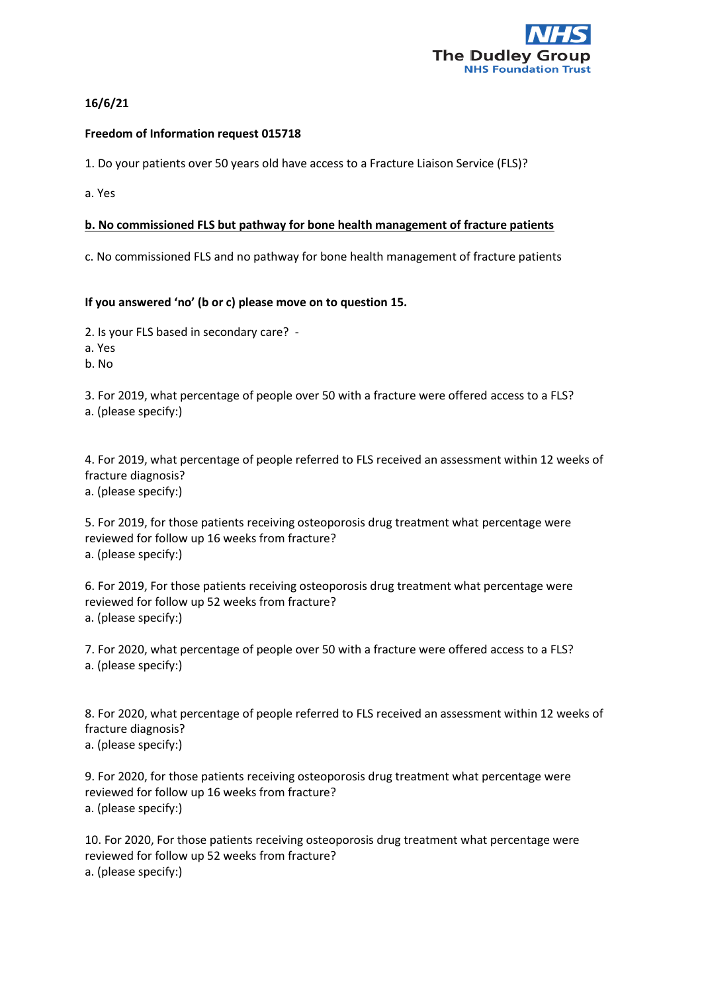

## **16/6/21**

#### **Freedom of Information request 015718**

1. Do your patients over 50 years old have access to a Fracture Liaison Service (FLS)?

a. Yes

### **b. No commissioned FLS but pathway for bone health management of fracture patients**

c. No commissioned FLS and no pathway for bone health management of fracture patients

#### **If you answered 'no' (b or c) please move on to question 15.**

2. Is your FLS based in secondary care? -

a. Yes

b. No

3. For 2019, what percentage of people over 50 with a fracture were offered access to a FLS? a. (please specify:)

4. For 2019, what percentage of people referred to FLS received an assessment within 12 weeks of fracture diagnosis?

a. (please specify:)

5. For 2019, for those patients receiving osteoporosis drug treatment what percentage were reviewed for follow up 16 weeks from fracture? a. (please specify:)

6. For 2019, For those patients receiving osteoporosis drug treatment what percentage were reviewed for follow up 52 weeks from fracture? a. (please specify:)

7. For 2020, what percentage of people over 50 with a fracture were offered access to a FLS? a. (please specify:)

8. For 2020, what percentage of people referred to FLS received an assessment within 12 weeks of fracture diagnosis? a. (please specify:)

9. For 2020, for those patients receiving osteoporosis drug treatment what percentage were reviewed for follow up 16 weeks from fracture? a. (please specify:)

10. For 2020, For those patients receiving osteoporosis drug treatment what percentage were reviewed for follow up 52 weeks from fracture? a. (please specify:)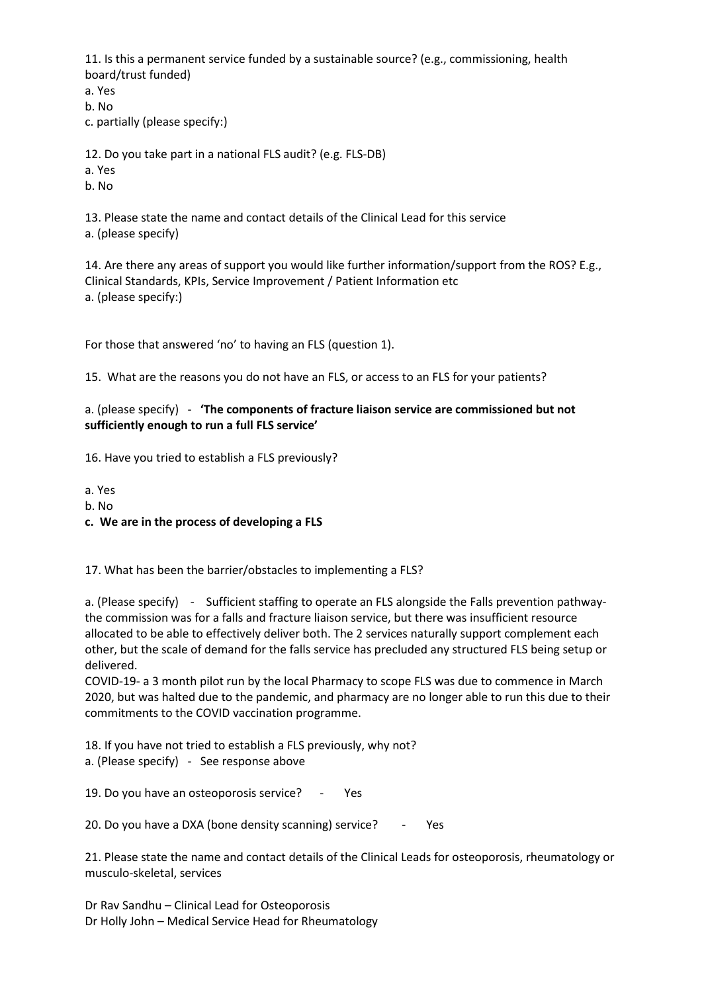11. Is this a permanent service funded by a sustainable source? (e.g., commissioning, health board/trust funded)

a. Yes

b. No

c. partially (please specify:)

12. Do you take part in a national FLS audit? (e.g. FLS-DB)

- a. Yes
- b. No

13. Please state the name and contact details of the Clinical Lead for this service a. (please specify)

14. Are there any areas of support you would like further information/support from the ROS? E.g., Clinical Standards, KPIs, Service Improvement / Patient Information etc a. (please specify:)

For those that answered 'no' to having an FLS (question 1).

15. What are the reasons you do not have an FLS, or access to an FLS for your patients?

# a. (please specify) - **'The components of fracture liaison service are commissioned but not sufficiently enough to run a full FLS service'**

16. Have you tried to establish a FLS previously?

a. Yes

- b. No
- **c. We are in the process of developing a FLS**

17. What has been the barrier/obstacles to implementing a FLS?

a. (Please specify) - Sufficient staffing to operate an FLS alongside the Falls prevention pathwaythe commission was for a falls and fracture liaison service, but there was insufficient resource allocated to be able to effectively deliver both. The 2 services naturally support complement each other, but the scale of demand for the falls service has precluded any structured FLS being setup or delivered.

COVID-19- a 3 month pilot run by the local Pharmacy to scope FLS was due to commence in March 2020, but was halted due to the pandemic, and pharmacy are no longer able to run this due to their commitments to the COVID vaccination programme.

18. If you have not tried to establish a FLS previously, why not? a. (Please specify) - See response above

19. Do you have an osteoporosis service? - Yes

20. Do you have a DXA (bone density scanning) service? - Yes

21. Please state the name and contact details of the Clinical Leads for osteoporosis, rheumatology or musculo-skeletal, services

Dr Rav Sandhu – Clinical Lead for Osteoporosis Dr Holly John – Medical Service Head for Rheumatology